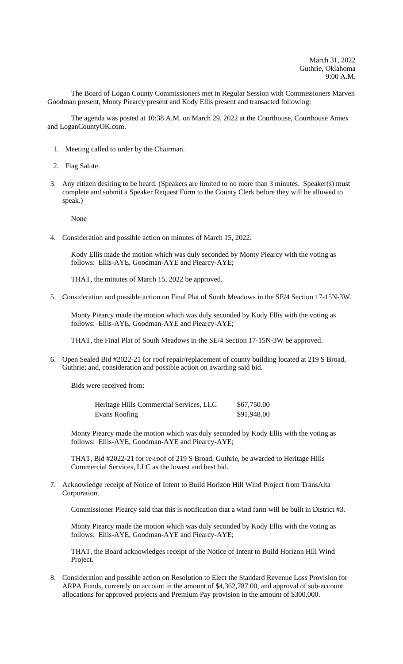The Board of Logan County Commissioners met in Regular Session with Commissioners Marven Goodman present, Monty Piearcy present and Kody Ellis present and transacted following:

The agenda was posted at 10:38 A.M. on March 29, 2022 at the Courthouse, Courthouse Annex and LoganCountyOK.com.

- 1. Meeting called to order by the Chairman.
- 2. Flag Salute.
- 3. Any citizen desiring to be heard. (Speakers are limited to no more than 3 minutes. Speaker(s) must complete and submit a Speaker Request Form to the County Clerk before they will be allowed to speak.)

None

4. Consideration and possible action on minutes of March 15, 2022.

Kody Ellis made the motion which was duly seconded by Monty Piearcy with the voting as follows: Ellis-AYE, Goodman-AYE and Piearcy-AYE;

THAT, the minutes of March 15, 2022 be approved.

5. Consideration and possible action on Final Plat of South Meadows in the SE/4 Section 17-15N-3W.

Monty Piearcy made the motion which was duly seconded by Kody Ellis with the voting as follows: Ellis-AYE, Goodman-AYE and Piearcy-AYE;

THAT, the Final Plat of South Meadows in the SE/4 Section 17-15N-3W be approved.

6. Open Sealed Bid #2022-21 for roof repair/replacement of county building located at 219 S Broad, Guthrie; and, consideration and possible action on awarding said bid.

Bids were received from:

| Heritage Hills Commercial Services, LLC | \$67,750.00 |
|-----------------------------------------|-------------|
| Evans Roofing                           | \$91,948.00 |

Monty Piearcy made the motion which was duly seconded by Kody Ellis with the voting as follows: Ellis-AYE, Goodman-AYE and Piearcy-AYE;

THAT, Bid #2022-21 for re-roof of 219 S Broad, Guthrie, be awarded to Heritage Hills Commercial Services, LLC as the lowest and best bid.

7. Acknowledge receipt of Notice of Intent to Build Horizon Hill Wind Project from TransAlta Corporation.

Commissioner Piearcy said that this is notification that a wind farm will be built in District #3.

Monty Piearcy made the motion which was duly seconded by Kody Ellis with the voting as follows: Ellis-AYE, Goodman-AYE and Piearcy-AYE;

THAT, the Board acknowledges receipt of the Notice of Intent to Build Horizon Hill Wind Project.

8. Consideration and possible action on Resolution to Elect the Standard Revenue Loss Provision for ARPA Funds, currently on account in the amount of \$4,362,787.00, and approval of sub-account allocations for approved projects and Premium Pay provision in the amount of \$300,000.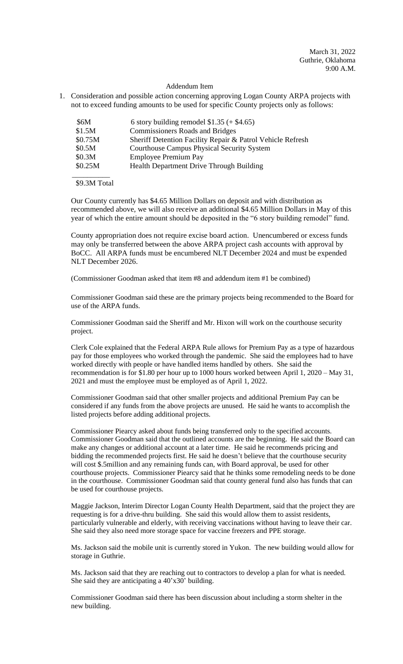March 31, 2022 Guthrie, Oklahoma 9:00 A.M.

## Addendum Item

1. Consideration and possible action concerning approving Logan County ARPA projects with not to exceed funding amounts to be used for specific County projects only as follows:

| \$6M    | 6 story building remodel $$1.35 (+ $4.65)$                 |
|---------|------------------------------------------------------------|
| \$1.5M  | <b>Commissioners Roads and Bridges</b>                     |
| \$0.75M | Sheriff Detention Facility Repair & Patrol Vehicle Refresh |
| \$0.5M  | <b>Courthouse Campus Physical Security System</b>          |
| \$0.3M  | <b>Employee Premium Pay</b>                                |
| \$0.25M | Health Department Drive Through Building                   |
|         |                                                            |

## \$9.3M Total

Our County currently has \$4.65 Million Dollars on deposit and with distribution as recommended above, we will also receive an additional \$4.65 Million Dollars in May of this year of which the entire amount should be deposited in the "6 story building remodel" fund.

County appropriation does not require excise board action. Unencumbered or excess funds may only be transferred between the above ARPA project cash accounts with approval by BoCC. All ARPA funds must be encumbered NLT December 2024 and must be expended NLT December 2026.

(Commissioner Goodman asked that item #8 and addendum item #1 be combined)

Commissioner Goodman said these are the primary projects being recommended to the Board for use of the ARPA funds.

Commissioner Goodman said the Sheriff and Mr. Hixon will work on the courthouse security project.

Clerk Cole explained that the Federal ARPA Rule allows for Premium Pay as a type of hazardous pay for those employees who worked through the pandemic. She said the employees had to have worked directly with people or have handled items handled by others. She said the recommendation is for \$1.80 per hour up to 1000 hours worked between April 1, 2020 – May 31, 2021 and must the employee must be employed as of April 1, 2022.

Commissioner Goodman said that other smaller projects and additional Premium Pay can be considered if any funds from the above projects are unused. He said he wants to accomplish the listed projects before adding additional projects.

Commissioner Piearcy asked about funds being transferred only to the specified accounts. Commissioner Goodman said that the outlined accounts are the beginning. He said the Board can make any changes or additional account at a later time. He said he recommends pricing and bidding the recommended projects first. He said he doesn't believe that the courthouse security will cost \$.5million and any remaining funds can, with Board approval, be used for other courthouse projects. Commissioner Piearcy said that he thinks some remodeling needs to be done in the courthouse. Commissioner Goodman said that county general fund also has funds that can be used for courthouse projects.

Maggie Jackson, Interim Director Logan County Health Department, said that the project they are requesting is for a drive-thru building. She said this would allow them to assist residents, particularly vulnerable and elderly, with receiving vaccinations without having to leave their car. She said they also need more storage space for vaccine freezers and PPE storage.

Ms. Jackson said the mobile unit is currently stored in Yukon. The new building would allow for storage in Guthrie.

Ms. Jackson said that they are reaching out to contractors to develop a plan for what is needed. She said they are anticipating a 40'x30' building.

Commissioner Goodman said there has been discussion about including a storm shelter in the new building.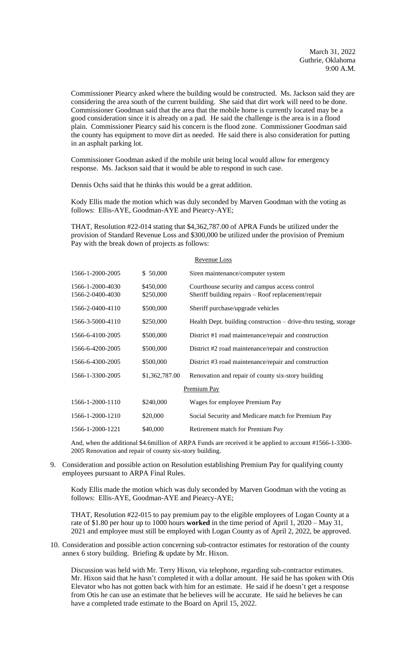Commissioner Piearcy asked where the building would be constructed. Ms. Jackson said they are considering the area south of the current building. She said that dirt work will need to be done. Commissioner Goodman said that the area that the mobile home is currently located may be a good consideration since it is already on a pad. He said the challenge is the area is in a flood plain. Commissioner Piearcy said his concern is the flood zone. Commissioner Goodman said the county has equipment to move dirt as needed. He said there is also consideration for putting in an asphalt parking lot.

Commissioner Goodman asked if the mobile unit being local would allow for emergency response. Ms. Jackson said that it would be able to respond in such case.

Dennis Ochs said that he thinks this would be a great addition.

Kody Ellis made the motion which was duly seconded by Marven Goodman with the voting as follows: Ellis-AYE, Goodman-AYE and Piearcy-AYE;

THAT, Resolution #22-014 stating that \$4,362,787.00 of APRA Funds be utilized under the provision of Standard Revenue Loss and \$300,000 be utilized under the provision of Premium Pay with the break down of projects as follows:

| Revenue Loss                         |                        |                                                                                                     |  |  |  |
|--------------------------------------|------------------------|-----------------------------------------------------------------------------------------------------|--|--|--|
| 1566-1-2000-2005                     | \$ 50,000              | Siren maintenance/computer system                                                                   |  |  |  |
| 1566-1-2000-4030<br>1566-2-0400-4030 | \$450,000<br>\$250,000 | Courthouse security and campus access control<br>Sheriff building repairs - Roof replacement/repair |  |  |  |
| 1566-2-0400-4110                     | \$500,000              | Sheriff purchase/upgrade vehicles                                                                   |  |  |  |
| 1566-3-5000-4110                     | \$250,000              | Health Dept. building construction – drive-thru testing, storage                                    |  |  |  |
| 1566-6-4100-2005                     | \$500,000              | District #1 road maintenance/repair and construction                                                |  |  |  |
| 1566-6-4200-2005                     | \$500,000              | District #2 road maintenance/repair and construction                                                |  |  |  |
| 1566-6-4300-2005                     | \$500,000              | District #3 road maintenance/repair and construction                                                |  |  |  |
| 1566-1-3300-2005                     | \$1,362,787.00         | Renovation and repair of county six-story building                                                  |  |  |  |
| Premium Pay                          |                        |                                                                                                     |  |  |  |
| 1566-1-2000-1110                     | \$240,000              | Wages for employee Premium Pay                                                                      |  |  |  |
| 1566-1-2000-1210                     | \$20,000               | Social Security and Medicare match for Premium Pay                                                  |  |  |  |
| 1566-1-2000-1221                     | \$40,000               | Retirement match for Premium Pay                                                                    |  |  |  |
|                                      |                        |                                                                                                     |  |  |  |

And, when the additional \$4.6million of ARPA Funds are received it be applied to account #1566-1-3300- 2005 Renovation and repair of county six-story building.

9. Consideration and possible action on Resolution establishing Premium Pay for qualifying county employees pursuant to ARPA Final Rules.

Kody Ellis made the motion which was duly seconded by Marven Goodman with the voting as follows: Ellis-AYE, Goodman-AYE and Piearcy-AYE;

THAT, Resolution #22-015 to pay premium pay to the eligible employees of Logan County at a rate of \$1.80 per hour up to 1000 hours **worked** in the time period of April 1, 2020 – May 31, 2021 and employee must still be employed with Logan County as of April 2, 2022, be approved.

10. Consideration and possible action concerning sub-contractor estimates for restoration of the county annex 6 story building. Briefing & update by Mr. Hixon.

Discussion was held with Mr. Terry Hixon, via telephone, regarding sub-contractor estimates. Mr. Hixon said that he hasn't completed it with a dollar amount. He said he has spoken with Otis Elevator who has not gotten back with him for an estimate. He said if he doesn't get a response from Otis he can use an estimate that he believes will be accurate. He said he believes he can have a completed trade estimate to the Board on April 15, 2022.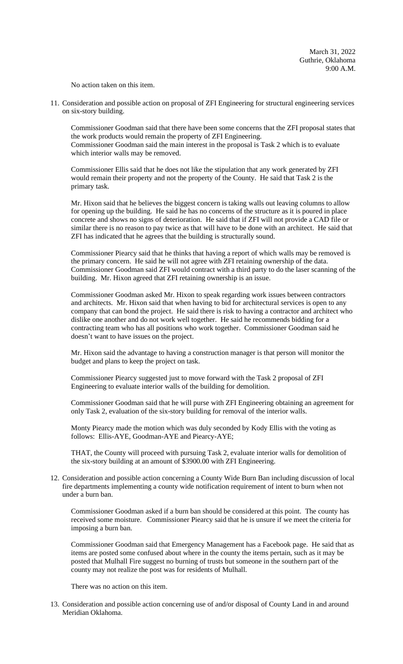No action taken on this item.

11. Consideration and possible action on proposal of ZFI Engineering for structural engineering services on six-story building.

Commissioner Goodman said that there have been some concerns that the ZFI proposal states that the work products would remain the property of ZFI Engineering. Commissioner Goodman said the main interest in the proposal is Task 2 which is to evaluate which interior walls may be removed.

Commissioner Ellis said that he does not like the stipulation that any work generated by ZFI would remain their property and not the property of the County. He said that Task 2 is the primary task.

Mr. Hixon said that he believes the biggest concern is taking walls out leaving columns to allow for opening up the building. He said he has no concerns of the structure as it is poured in place concrete and shows no signs of deterioration. He said that if ZFI will not provide a CAD file or similar there is no reason to pay twice as that will have to be done with an architect. He said that ZFI has indicated that he agrees that the building is structurally sound.

Commissioner Piearcy said that he thinks that having a report of which walls may be removed is the primary concern. He said he will not agree with ZFI retaining ownership of the data. Commissioner Goodman said ZFI would contract with a third party to do the laser scanning of the building. Mr. Hixon agreed that ZFI retaining ownership is an issue.

Commissioner Goodman asked Mr. Hixon to speak regarding work issues between contractors and architects. Mr. Hixon said that when having to bid for architectural services is open to any company that can bond the project. He said there is risk to having a contractor and architect who dislike one another and do not work well together. He said he recommends bidding for a contracting team who has all positions who work together. Commissioner Goodman said he doesn't want to have issues on the project.

Mr. Hixon said the advantage to having a construction manager is that person will monitor the budget and plans to keep the project on task.

Commissioner Piearcy suggested just to move forward with the Task 2 proposal of ZFI Engineering to evaluate interior walls of the building for demolition.

Commissioner Goodman said that he will purse with ZFI Engineering obtaining an agreement for only Task 2, evaluation of the six-story building for removal of the interior walls.

Monty Piearcy made the motion which was duly seconded by Kody Ellis with the voting as follows: Ellis-AYE, Goodman-AYE and Piearcy-AYE;

THAT, the County will proceed with pursuing Task 2, evaluate interior walls for demolition of the six-story building at an amount of \$3900.00 with ZFI Engineering.

12. Consideration and possible action concerning a County Wide Burn Ban including discussion of local fire departments implementing a county wide notification requirement of intent to burn when not under a burn ban.

Commissioner Goodman asked if a burn ban should be considered at this point. The county has received some moisture. Commissioner Piearcy said that he is unsure if we meet the criteria for imposing a burn ban.

Commissioner Goodman said that Emergency Management has a Facebook page. He said that as items are posted some confused about where in the county the items pertain, such as it may be posted that Mulhall Fire suggest no burning of trusts but someone in the southern part of the county may not realize the post was for residents of Mulhall.

There was no action on this item.

13. Consideration and possible action concerning use of and/or disposal of County Land in and around Meridian Oklahoma.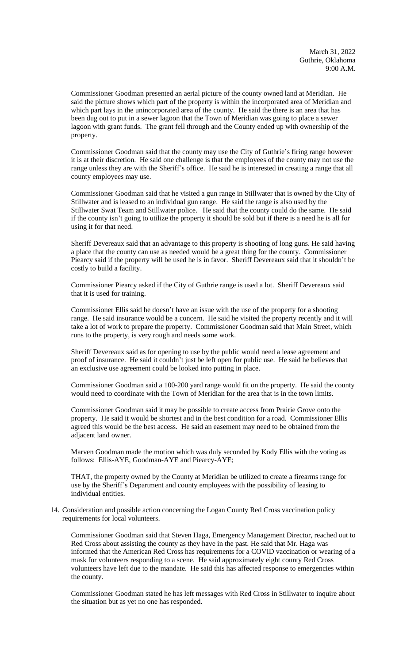Commissioner Goodman presented an aerial picture of the county owned land at Meridian. He said the picture shows which part of the property is within the incorporated area of Meridian and which part lays in the unincorporated area of the county. He said the there is an area that has been dug out to put in a sewer lagoon that the Town of Meridian was going to place a sewer lagoon with grant funds. The grant fell through and the County ended up with ownership of the property.

Commissioner Goodman said that the county may use the City of Guthrie's firing range however it is at their discretion. He said one challenge is that the employees of the county may not use the range unless they are with the Sheriff's office. He said he is interested in creating a range that all county employees may use.

Commissioner Goodman said that he visited a gun range in Stillwater that is owned by the City of Stillwater and is leased to an individual gun range. He said the range is also used by the Stillwater Swat Team and Stillwater police. He said that the county could do the same. He said if the county isn't going to utilize the property it should be sold but if there is a need he is all for using it for that need.

Sheriff Devereaux said that an advantage to this property is shooting of long guns. He said having a place that the county can use as needed would be a great thing for the county. Commissioner Piearcy said if the property will be used he is in favor. Sheriff Devereaux said that it shouldn't be costly to build a facility.

Commissioner Piearcy asked if the City of Guthrie range is used a lot. Sheriff Devereaux said that it is used for training.

Commissioner Ellis said he doesn't have an issue with the use of the property for a shooting range. He said insurance would be a concern. He said he visited the property recently and it will take a lot of work to prepare the property. Commissioner Goodman said that Main Street, which runs to the property, is very rough and needs some work.

Sheriff Devereaux said as for opening to use by the public would need a lease agreement and proof of insurance. He said it couldn't just be left open for public use. He said he believes that an exclusive use agreement could be looked into putting in place.

Commissioner Goodman said a 100-200 yard range would fit on the property. He said the county would need to coordinate with the Town of Meridian for the area that is in the town limits.

Commissioner Goodman said it may be possible to create access from Prairie Grove onto the property. He said it would be shortest and in the best condition for a road. Commissioner Ellis agreed this would be the best access. He said an easement may need to be obtained from the adjacent land owner.

Marven Goodman made the motion which was duly seconded by Kody Ellis with the voting as follows: Ellis-AYE, Goodman-AYE and Piearcy-AYE;

THAT, the property owned by the County at Meridian be utilized to create a firearms range for use by the Sheriff's Department and county employees with the possibility of leasing to individual entities.

14. Consideration and possible action concerning the Logan County Red Cross vaccination policy requirements for local volunteers.

Commissioner Goodman said that Steven Haga, Emergency Management Director, reached out to Red Cross about assisting the county as they have in the past. He said that Mr. Haga was informed that the American Red Cross has requirements for a COVID vaccination or wearing of a mask for volunteers responding to a scene. He said approximately eight county Red Cross volunteers have left due to the mandate. He said this has affected response to emergencies within the county.

Commissioner Goodman stated he has left messages with Red Cross in Stillwater to inquire about the situation but as yet no one has responded.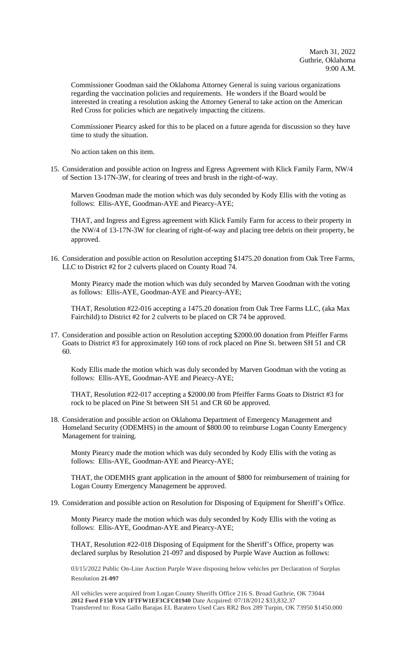Commissioner Goodman said the Oklahoma Attorney General is suing various organizations regarding the vaccination policies and requirements. He wonders if the Board would be interested in creating a resolution asking the Attorney General to take action on the American Red Cross for policies which are negatively impacting the citizens.

Commissioner Piearcy asked for this to be placed on a future agenda for discussion so they have time to study the situation.

No action taken on this item.

15. Consideration and possible action on Ingress and Egress Agreement with Klick Family Farm, NW/4 of Section 13-17N-3W, for clearing of trees and brush in the right-of-way.

Marven Goodman made the motion which was duly seconded by Kody Ellis with the voting as follows: Ellis-AYE, Goodman-AYE and Piearcy-AYE;

THAT, and Ingress and Egress agreement with Klick Family Farm for access to their property in the NW/4 of 13-17N-3W for clearing of right-of-way and placing tree debris on their property, be approved.

16. Consideration and possible action on Resolution accepting \$1475.20 donation from Oak Tree Farms, LLC to District #2 for 2 culverts placed on County Road 74.

Monty Piearcy made the motion which was duly seconded by Marven Goodman with the voting as follows: Ellis-AYE, Goodman-AYE and Piearcy-AYE;

THAT, Resolution #22-016 accepting a 1475.20 donation from Oak Tree Farms LLC, (aka Max Fairchild) to District #2 for 2 culverts to be placed on CR 74 be approved.

17. Consideration and possible action on Resolution accepting \$2000.00 donation from Pfeiffer Farms Goats to District #3 for approximately 160 tons of rock placed on Pine St. between SH 51 and CR 60.

Kody Ellis made the motion which was duly seconded by Marven Goodman with the voting as follows: Ellis-AYE, Goodman-AYE and Piearcy-AYE;

THAT, Resolution #22-017 accepting a \$2000.00 from Pfeiffer Farms Goats to District #3 for rock to be placed on Pine St between SH 51 and CR 60 be approved.

18. Consideration and possible action on Oklahoma Department of Emergency Management and Homeland Security (ODEMHS) in the amount of \$800.00 to reimburse Logan County Emergency Management for training.

Monty Piearcy made the motion which was duly seconded by Kody Ellis with the voting as follows: Ellis-AYE, Goodman-AYE and Piearcy-AYE;

THAT, the ODEMHS grant application in the amount of \$800 for reimbursement of training for Logan County Emergency Management be approved.

## 19. Consideration and possible action on Resolution for Disposing of Equipment for Sheriff's Office.

Monty Piearcy made the motion which was duly seconded by Kody Ellis with the voting as follows: Ellis-AYE, Goodman-AYE and Piearcy-AYE;

THAT, Resolution #22-018 Disposing of Equipment for the Sheriff's Office, property was declared surplus by Resolution 21-097 and disposed by Purple Wave Auction as follows:

03/15/2022 Public On-Line Auction Purple Wave disposing below vehicles per Declaration of Surplus Resolution **21-097**

All vehicles were acquired from Logan County Sheriffs Office 216 S. Broad Guthrie, OK 73044 **2012 Ford F150 VIN 1FTFW1EF3CFC01940** Date Acquired: 07/18/2012 \$33,832.37 Transferred to: Rosa Gallo Barajas EL Baratero Used Cars RR2 Box 289 Turpin, OK 73950 \$1450.000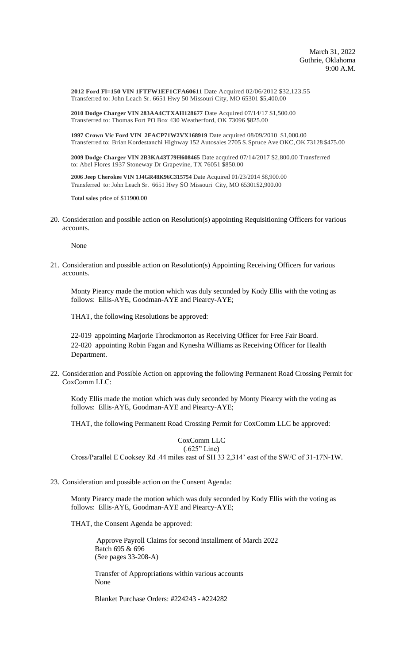**2012 Ford Fl=150 VIN 1FTFW1EF1CFA60611** Date Acquired 02/06/2012 \$32,123.55 Transferred to: John Leach Sr. 6651 Hwy 50 Missouri City, MO 65301 \$5,400.00

**2010 Dodge Charger VIN 283AA4CTXAH128677** Date Acquired 07/14/17 \$1,500.00 Transferred to: Thomas Fort PO Box 430 Weatherford, OK 73096 \$825.00

**1997 Crown Vic Ford VIN 2FACP71W2VX168919** Date acquired 08/09/2010 \$1,000.00 Transferred to: Brian Kordestanchi Highway 152 Autosales 2705 S. Spruce Ave OKC, OK 73128 \$475.00

**2009 Dodge Charger VIN 2B3KA43T79H608465** Date acquired 07/14/2017 \$2,800.00 Transferred to: Abel Flores 1937 Stoneway Dr Grapevine, TX 76051 \$850.00

**2006 Jeep Cherokee VIN 1J4GR48K96C315754** Date Acquired 01/23/2014 \$8,900.00 Transferred to: John Leach Sr. 6651 Hwy SO Missouri City, MO 65301\$2,900.00

Total sales price of \$11900.00

20. Consideration and possible action on Resolution(s) appointing Requisitioning Officers for various accounts.

None

21. Consideration and possible action on Resolution(s) Appointing Receiving Officers for various accounts.

Monty Piearcy made the motion which was duly seconded by Kody Ellis with the voting as follows: Ellis-AYE, Goodman-AYE and Piearcy-AYE;

THAT, the following Resolutions be approved:

22-019 appointing Marjorie Throckmorton as Receiving Officer for Free Fair Board. 22-020 appointing Robin Fagan and Kynesha Williams as Receiving Officer for Health Department.

22. Consideration and Possible Action on approving the following Permanent Road Crossing Permit for CoxComm LLC:

Kody Ellis made the motion which was duly seconded by Monty Piearcy with the voting as follows: Ellis-AYE, Goodman-AYE and Piearcy-AYE;

THAT, the following Permanent Road Crossing Permit for CoxComm LLC be approved:

## CoxComm LLC (.625" Line)

Cross/Parallel E Cooksey Rd .44 miles east of SH 33 2,314' east of the SW/C of 31-17N-1W.

23. Consideration and possible action on the Consent Agenda:

Monty Piearcy made the motion which was duly seconded by Kody Ellis with the voting as follows: Ellis-AYE, Goodman-AYE and Piearcy-AYE;

THAT, the Consent Agenda be approved:

 Approve Payroll Claims for second installment of March 2022 Batch 695 & 696 (See pages 33-208-A)

Transfer of Appropriations within various accounts None

Blanket Purchase Orders: #224243 - #224282